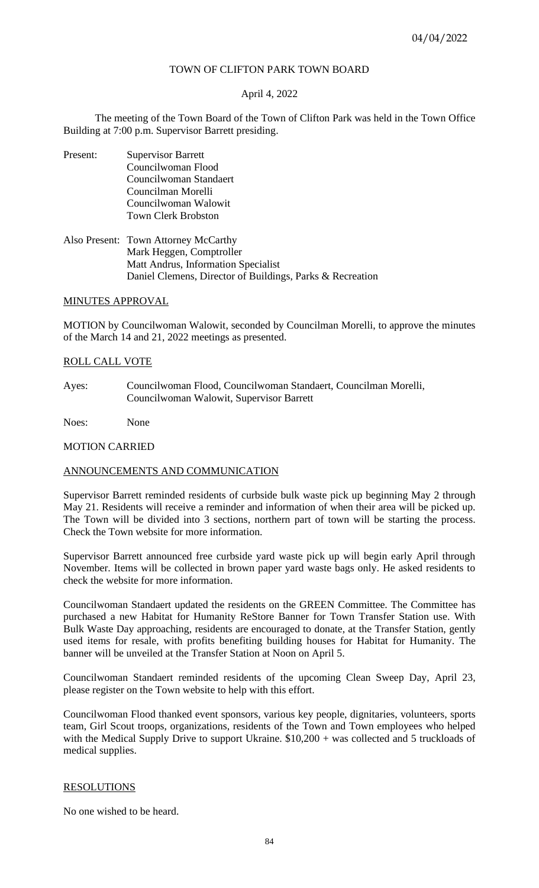# TOWN OF CLIFTON PARK TOWN BOARD

# April 4, 2022

The meeting of the Town Board of the Town of Clifton Park was held in the Town Office Building at 7:00 p.m. Supervisor Barrett presiding.

- Present: Supervisor Barrett Councilwoman Flood Councilwoman Standaert Councilman Morelli Councilwoman Walowit Town Clerk Brobston
- Also Present: Town Attorney McCarthy Mark Heggen, Comptroller Matt Andrus, Information Specialist Daniel Clemens, Director of Buildings, Parks & Recreation

## MINUTES APPROVAL

MOTION by Councilwoman Walowit, seconded by Councilman Morelli, to approve the minutes of the March 14 and 21, 2022 meetings as presented.

## ROLL CALL VOTE

Ayes: Councilwoman Flood, Councilwoman Standaert, Councilman Morelli, Councilwoman Walowit, Supervisor Barrett

Noes: None

### MOTION CARRIED

### ANNOUNCEMENTS AND COMMUNICATION

Supervisor Barrett reminded residents of curbside bulk waste pick up beginning May 2 through May 21. Residents will receive a reminder and information of when their area will be picked up. The Town will be divided into 3 sections, northern part of town will be starting the process. Check the Town website for more information.

Supervisor Barrett announced free curbside yard waste pick up will begin early April through November. Items will be collected in brown paper yard waste bags only. He asked residents to check the website for more information.

Councilwoman Standaert updated the residents on the GREEN Committee. The Committee has purchased a new Habitat for Humanity ReStore Banner for Town Transfer Station use. With Bulk Waste Day approaching, residents are encouraged to donate, at the Transfer Station, gently used items for resale, with profits benefiting building houses for Habitat for Humanity. The banner will be unveiled at the Transfer Station at Noon on April 5.

Councilwoman Standaert reminded residents of the upcoming Clean Sweep Day, April 23, please register on the Town website to help with this effort.

Councilwoman Flood thanked event sponsors, various key people, dignitaries, volunteers, sports team, Girl Scout troops, organizations, residents of the Town and Town employees who helped with the Medical Supply Drive to support Ukraine.  $$10,200 + was$  collected and 5 truckloads of medical supplies.

# RESOLUTIONS

No one wished to be heard.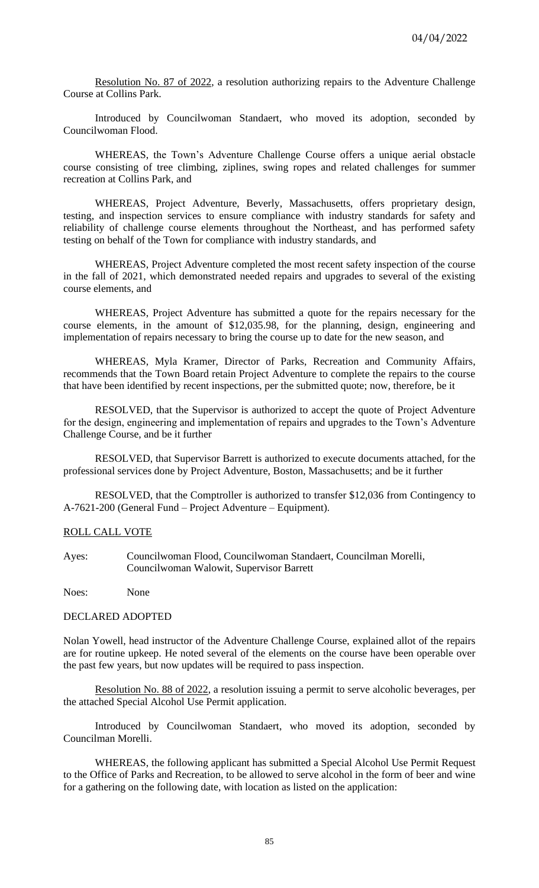Resolution No. 87 of 2022, a resolution authorizing repairs to the Adventure Challenge Course at Collins Park.

Introduced by Councilwoman Standaert, who moved its adoption, seconded by Councilwoman Flood.

WHEREAS, the Town's Adventure Challenge Course offers a unique aerial obstacle course consisting of tree climbing, ziplines, swing ropes and related challenges for summer recreation at Collins Park, and

WHEREAS, Project Adventure, Beverly, Massachusetts, offers proprietary design, testing, and inspection services to ensure compliance with industry standards for safety and reliability of challenge course elements throughout the Northeast, and has performed safety testing on behalf of the Town for compliance with industry standards, and

WHEREAS, Project Adventure completed the most recent safety inspection of the course in the fall of 2021, which demonstrated needed repairs and upgrades to several of the existing course elements, and

WHEREAS, Project Adventure has submitted a quote for the repairs necessary for the course elements, in the amount of \$12,035.98, for the planning, design, engineering and implementation of repairs necessary to bring the course up to date for the new season, and

WHEREAS, Myla Kramer, Director of Parks, Recreation and Community Affairs, recommends that the Town Board retain Project Adventure to complete the repairs to the course that have been identified by recent inspections, per the submitted quote; now, therefore, be it

RESOLVED, that the Supervisor is authorized to accept the quote of Project Adventure for the design, engineering and implementation of repairs and upgrades to the Town's Adventure Challenge Course, and be it further

RESOLVED, that Supervisor Barrett is authorized to execute documents attached, for the professional services done by Project Adventure, Boston, Massachusetts; and be it further

RESOLVED, that the Comptroller is authorized to transfer \$12,036 from Contingency to A-7621-200 (General Fund – Project Adventure – Equipment).

### ROLL CALL VOTE

Ayes: Councilwoman Flood, Councilwoman Standaert, Councilman Morelli, Councilwoman Walowit, Supervisor Barrett

Noes: None

### DECLARED ADOPTED

Nolan Yowell, head instructor of the Adventure Challenge Course, explained allot of the repairs are for routine upkeep. He noted several of the elements on the course have been operable over the past few years, but now updates will be required to pass inspection.

Resolution No. 88 of 2022, a resolution issuing a permit to serve alcoholic beverages, per the attached Special Alcohol Use Permit application.

Introduced by Councilwoman Standaert, who moved its adoption, seconded by Councilman Morelli.

WHEREAS, the following applicant has submitted a Special Alcohol Use Permit Request to the Office of Parks and Recreation, to be allowed to serve alcohol in the form of beer and wine for a gathering on the following date, with location as listed on the application: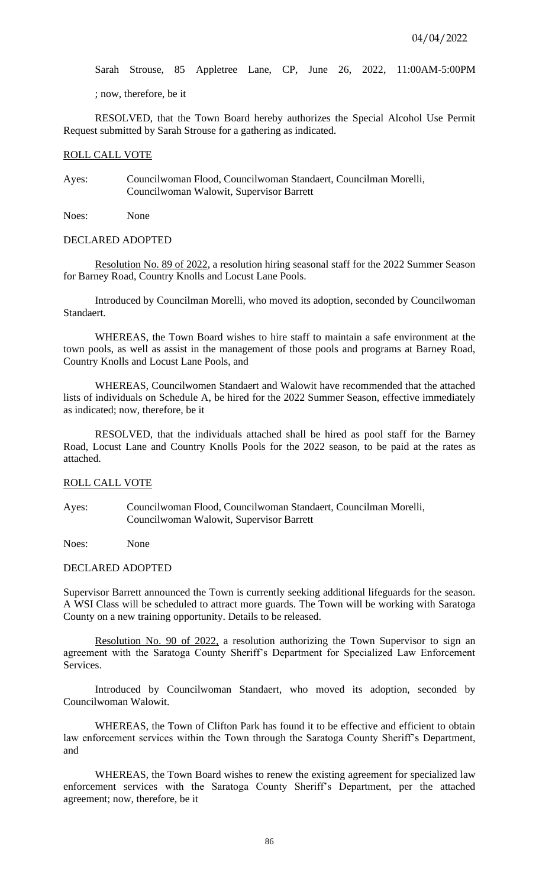Sarah Strouse, 85 Appletree Lane, CP, June 26, 2022, 11:00AM-5:00PM

; now, therefore, be it

RESOLVED, that the Town Board hereby authorizes the Special Alcohol Use Permit Request submitted by Sarah Strouse for a gathering as indicated.

#### ROLL CALL VOTE

Ayes: Councilwoman Flood, Councilwoman Standaert, Councilman Morelli, Councilwoman Walowit, Supervisor Barrett

Noes: None

#### DECLARED ADOPTED

Resolution No. 89 of 2022, a resolution hiring seasonal staff for the 2022 Summer Season for Barney Road, Country Knolls and Locust Lane Pools.

Introduced by Councilman Morelli, who moved its adoption, seconded by Councilwoman Standaert.

WHEREAS, the Town Board wishes to hire staff to maintain a safe environment at the town pools, as well as assist in the management of those pools and programs at Barney Road, Country Knolls and Locust Lane Pools, and

WHEREAS, Councilwomen Standaert and Walowit have recommended that the attached lists of individuals on Schedule A, be hired for the 2022 Summer Season, effective immediately as indicated; now, therefore, be it

RESOLVED, that the individuals attached shall be hired as pool staff for the Barney Road, Locust Lane and Country Knolls Pools for the 2022 season, to be paid at the rates as attached.

## ROLL CALL VOTE

Ayes: Councilwoman Flood, Councilwoman Standaert, Councilman Morelli, Councilwoman Walowit, Supervisor Barrett

Noes: None

#### DECLARED ADOPTED

Supervisor Barrett announced the Town is currently seeking additional lifeguards for the season. A WSI Class will be scheduled to attract more guards. The Town will be working with Saratoga County on a new training opportunity. Details to be released.

Resolution No. 90 of 2022, a resolution authorizing the Town Supervisor to sign an agreement with the Saratoga County Sheriff's Department for Specialized Law Enforcement Services.

Introduced by Councilwoman Standaert, who moved its adoption, seconded by Councilwoman Walowit.

WHEREAS, the Town of Clifton Park has found it to be effective and efficient to obtain law enforcement services within the Town through the Saratoga County Sheriff's Department, and

WHEREAS, the Town Board wishes to renew the existing agreement for specialized law enforcement services with the Saratoga County Sheriff's Department, per the attached agreement; now, therefore, be it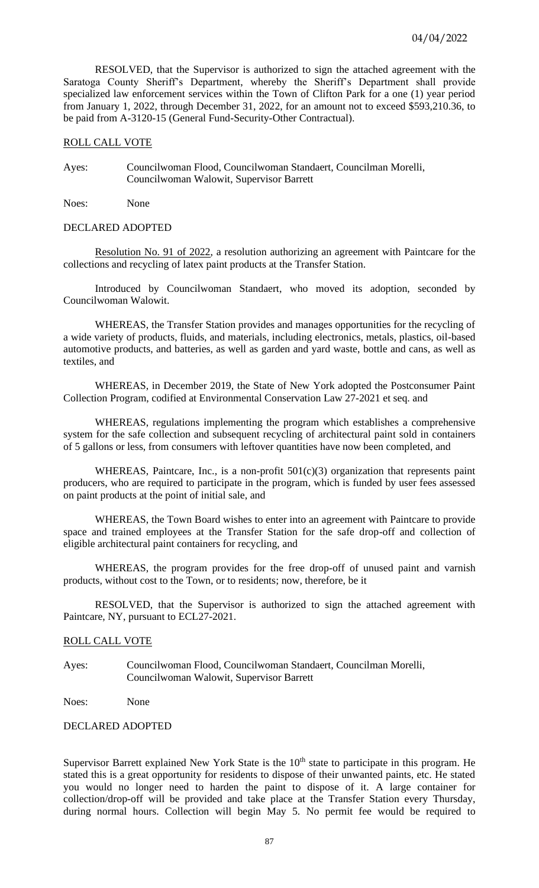RESOLVED, that the Supervisor is authorized to sign the attached agreement with the Saratoga County Sheriff's Department, whereby the Sheriff's Department shall provide specialized law enforcement services within the Town of Clifton Park for a one (1) year period from January 1, 2022, through December 31, 2022, for an amount not to exceed \$593,210.36, to be paid from A-3120-15 (General Fund-Security-Other Contractual).

#### ROLL CALL VOTE

Ayes: Councilwoman Flood, Councilwoman Standaert, Councilman Morelli, Councilwoman Walowit, Supervisor Barrett

Noes: None

#### DECLARED ADOPTED

Resolution No. 91 of 2022, a resolution authorizing an agreement with Paintcare for the collections and recycling of latex paint products at the Transfer Station.

Introduced by Councilwoman Standaert, who moved its adoption, seconded by Councilwoman Walowit.

WHEREAS, the Transfer Station provides and manages opportunities for the recycling of a wide variety of products, fluids, and materials, including electronics, metals, plastics, oil-based automotive products, and batteries, as well as garden and yard waste, bottle and cans, as well as textiles, and

WHEREAS, in December 2019, the State of New York adopted the Postconsumer Paint Collection Program, codified at Environmental Conservation Law 27-2021 et seq. and

WHEREAS, regulations implementing the program which establishes a comprehensive system for the safe collection and subsequent recycling of architectural paint sold in containers of 5 gallons or less, from consumers with leftover quantities have now been completed, and

WHEREAS, Paintcare, Inc., is a non-profit 501(c)(3) organization that represents paint producers, who are required to participate in the program, which is funded by user fees assessed on paint products at the point of initial sale, and

WHEREAS, the Town Board wishes to enter into an agreement with Paintcare to provide space and trained employees at the Transfer Station for the safe drop-off and collection of eligible architectural paint containers for recycling, and

WHEREAS, the program provides for the free drop-off of unused paint and varnish products, without cost to the Town, or to residents; now, therefore, be it

RESOLVED, that the Supervisor is authorized to sign the attached agreement with Paintcare, NY, pursuant to ECL27-2021.

#### ROLL CALL VOTE

Ayes: Councilwoman Flood, Councilwoman Standaert, Councilman Morelli, Councilwoman Walowit, Supervisor Barrett

Noes: None

# DECLARED ADOPTED

Supervisor Barrett explained New York State is the  $10<sup>th</sup>$  state to participate in this program. He stated this is a great opportunity for residents to dispose of their unwanted paints, etc. He stated you would no longer need to harden the paint to dispose of it. A large container for collection/drop-off will be provided and take place at the Transfer Station every Thursday, during normal hours. Collection will begin May 5. No permit fee would be required to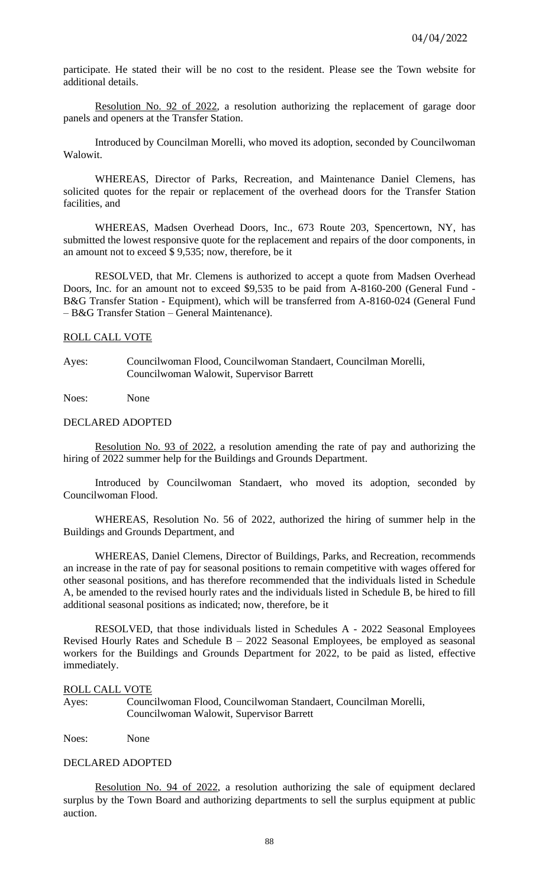participate. He stated their will be no cost to the resident. Please see the Town website for additional details.

Resolution No. 92 of 2022, a resolution authorizing the replacement of garage door panels and openers at the Transfer Station.

Introduced by Councilman Morelli, who moved its adoption, seconded by Councilwoman Walowit.

WHEREAS, Director of Parks, Recreation, and Maintenance Daniel Clemens, has solicited quotes for the repair or replacement of the overhead doors for the Transfer Station facilities, and

WHEREAS, Madsen Overhead Doors, Inc., 673 Route 203, Spencertown, NY, has submitted the lowest responsive quote for the replacement and repairs of the door components, in an amount not to exceed \$ 9,535; now, therefore, be it

RESOLVED, that Mr. Clemens is authorized to accept a quote from Madsen Overhead Doors, Inc. for an amount not to exceed \$9,535 to be paid from A-8160-200 (General Fund - B&G Transfer Station - Equipment), which will be transferred from A-8160-024 (General Fund – B&G Transfer Station – General Maintenance).

### ROLL CALL VOTE

Ayes: Councilwoman Flood, Councilwoman Standaert, Councilman Morelli, Councilwoman Walowit, Supervisor Barrett

Noes: None

## DECLARED ADOPTED

Resolution No. 93 of 2022, a resolution amending the rate of pay and authorizing the hiring of 2022 summer help for the Buildings and Grounds Department.

Introduced by Councilwoman Standaert, who moved its adoption, seconded by Councilwoman Flood.

WHEREAS, Resolution No. 56 of 2022, authorized the hiring of summer help in the Buildings and Grounds Department, and

WHEREAS, Daniel Clemens, Director of Buildings, Parks, and Recreation, recommends an increase in the rate of pay for seasonal positions to remain competitive with wages offered for other seasonal positions, and has therefore recommended that the individuals listed in Schedule A, be amended to the revised hourly rates and the individuals listed in Schedule B, be hired to fill additional seasonal positions as indicated; now, therefore, be it

RESOLVED, that those individuals listed in Schedules A - 2022 Seasonal Employees Revised Hourly Rates and Schedule  $B - 2022$  Seasonal Employees, be employed as seasonal workers for the Buildings and Grounds Department for 2022, to be paid as listed, effective immediately.

### ROLL CALL VOTE

Ayes: Councilwoman Flood, Councilwoman Standaert, Councilman Morelli, Councilwoman Walowit, Supervisor Barrett

Noes: None

## DECLARED ADOPTED

Resolution No. 94 of 2022, a resolution authorizing the sale of equipment declared surplus by the Town Board and authorizing departments to sell the surplus equipment at public auction.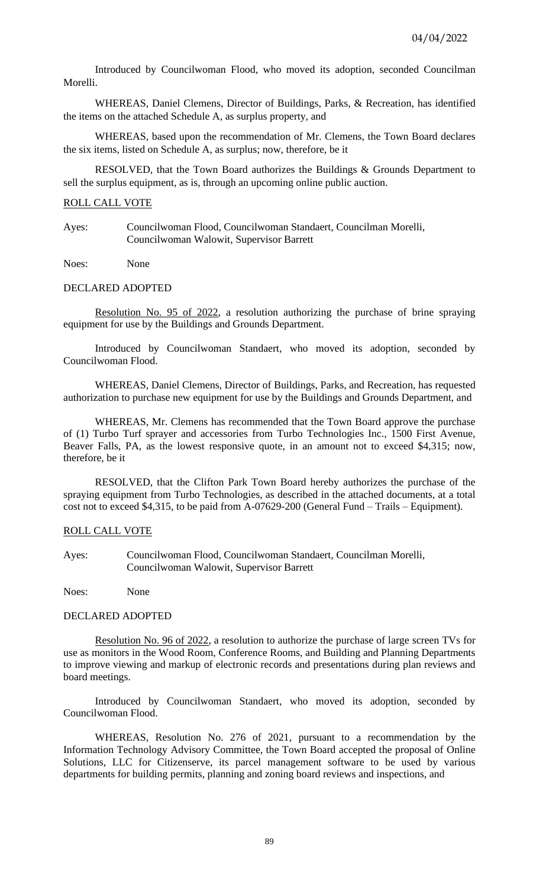Introduced by Councilwoman Flood, who moved its adoption, seconded Councilman Morelli.

WHEREAS, Daniel Clemens, Director of Buildings, Parks, & Recreation, has identified the items on the attached Schedule A, as surplus property, and

WHEREAS, based upon the recommendation of Mr. Clemens, the Town Board declares the six items, listed on Schedule A, as surplus; now, therefore, be it

RESOLVED, that the Town Board authorizes the Buildings & Grounds Department to sell the surplus equipment, as is, through an upcoming online public auction.

## ROLL CALL VOTE

Ayes: Councilwoman Flood, Councilwoman Standaert, Councilman Morelli, Councilwoman Walowit, Supervisor Barrett

Noes: None

## DECLARED ADOPTED

Resolution No. 95 of 2022, a resolution authorizing the purchase of brine spraying equipment for use by the Buildings and Grounds Department.

Introduced by Councilwoman Standaert, who moved its adoption, seconded by Councilwoman Flood.

WHEREAS, Daniel Clemens, Director of Buildings, Parks, and Recreation, has requested authorization to purchase new equipment for use by the Buildings and Grounds Department, and

WHEREAS, Mr. Clemens has recommended that the Town Board approve the purchase of (1) Turbo Turf sprayer and accessories from Turbo Technologies Inc., 1500 First Avenue, Beaver Falls, PA, as the lowest responsive quote, in an amount not to exceed \$4,315; now, therefore, be it

RESOLVED, that the Clifton Park Town Board hereby authorizes the purchase of the spraying equipment from Turbo Technologies, as described in the attached documents, at a total cost not to exceed \$4,315, to be paid from A-07629-200 (General Fund – Trails – Equipment).

# ROLL CALL VOTE

Ayes: Councilwoman Flood, Councilwoman Standaert, Councilman Morelli, Councilwoman Walowit, Supervisor Barrett

Noes: None

### DECLARED ADOPTED

Resolution No. 96 of 2022, a resolution to authorize the purchase of large screen TVs for use as monitors in the Wood Room, Conference Rooms, and Building and Planning Departments to improve viewing and markup of electronic records and presentations during plan reviews and board meetings.

Introduced by Councilwoman Standaert, who moved its adoption, seconded by Councilwoman Flood.

WHEREAS, Resolution No. 276 of 2021, pursuant to a recommendation by the Information Technology Advisory Committee, the Town Board accepted the proposal of Online Solutions, LLC for Citizenserve, its parcel management software to be used by various departments for building permits, planning and zoning board reviews and inspections, and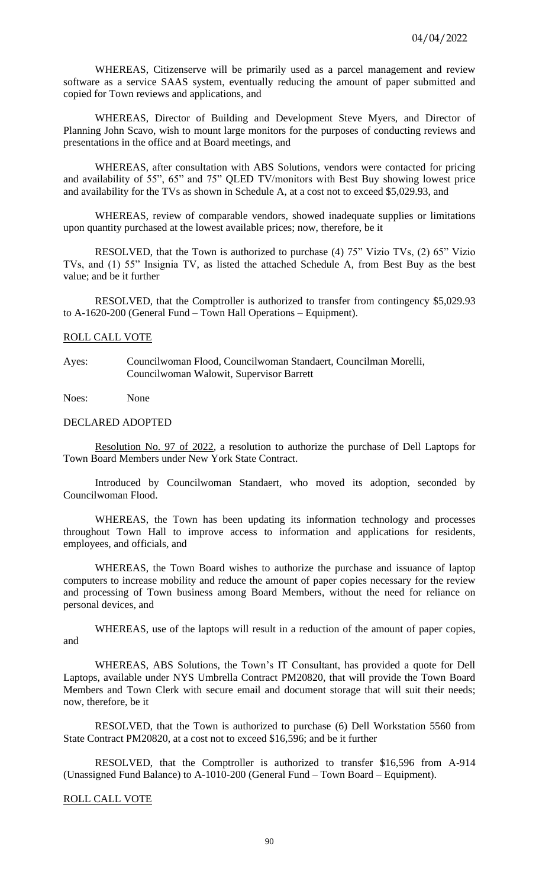WHEREAS, Citizenserve will be primarily used as a parcel management and review software as a service SAAS system, eventually reducing the amount of paper submitted and copied for Town reviews and applications, and

WHEREAS, Director of Building and Development Steve Myers, and Director of Planning John Scavo, wish to mount large monitors for the purposes of conducting reviews and presentations in the office and at Board meetings, and

WHEREAS, after consultation with ABS Solutions, vendors were contacted for pricing and availability of 55", 65" and 75" QLED TV/monitors with Best Buy showing lowest price and availability for the TVs as shown in Schedule A, at a cost not to exceed \$5,029.93, and

WHEREAS, review of comparable vendors, showed inadequate supplies or limitations upon quantity purchased at the lowest available prices; now, therefore, be it

RESOLVED, that the Town is authorized to purchase (4) 75" Vizio TVs, (2) 65" Vizio TVs, and (1) 55" Insignia TV, as listed the attached Schedule A, from Best Buy as the best value; and be it further

RESOLVED, that the Comptroller is authorized to transfer from contingency \$5,029.93 to A-1620-200 (General Fund – Town Hall Operations – Equipment).

#### ROLL CALL VOTE

Ayes: Councilwoman Flood, Councilwoman Standaert, Councilman Morelli, Councilwoman Walowit, Supervisor Barrett

Noes: None

## DECLARED ADOPTED

Resolution No. 97 of 2022, a resolution to authorize the purchase of Dell Laptops for Town Board Members under New York State Contract.

Introduced by Councilwoman Standaert, who moved its adoption, seconded by Councilwoman Flood.

WHEREAS, the Town has been updating its information technology and processes throughout Town Hall to improve access to information and applications for residents, employees, and officials, and

WHEREAS, the Town Board wishes to authorize the purchase and issuance of laptop computers to increase mobility and reduce the amount of paper copies necessary for the review and processing of Town business among Board Members, without the need for reliance on personal devices, and

WHEREAS, use of the laptops will result in a reduction of the amount of paper copies, and

WHEREAS, ABS Solutions, the Town's IT Consultant, has provided a quote for Dell Laptops, available under NYS Umbrella Contract PM20820, that will provide the Town Board Members and Town Clerk with secure email and document storage that will suit their needs; now, therefore, be it

RESOLVED, that the Town is authorized to purchase (6) Dell Workstation 5560 from State Contract PM20820, at a cost not to exceed \$16,596; and be it further

RESOLVED, that the Comptroller is authorized to transfer \$16,596 from A-914 (Unassigned Fund Balance) to A-1010-200 (General Fund – Town Board – Equipment).

## ROLL CALL VOTE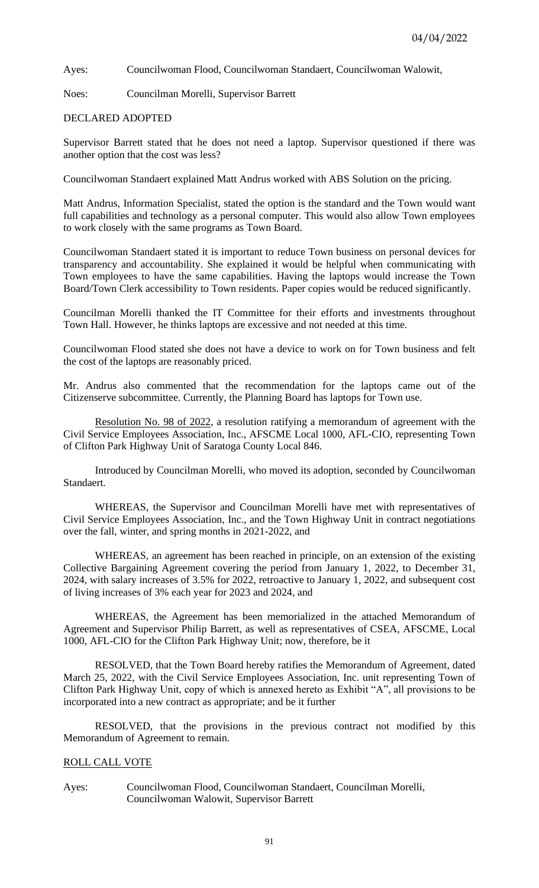Ayes: Councilwoman Flood, Councilwoman Standaert, Councilwoman Walowit,

Noes: Councilman Morelli, Supervisor Barrett

# DECLARED ADOPTED

Supervisor Barrett stated that he does not need a laptop. Supervisor questioned if there was another option that the cost was less?

Councilwoman Standaert explained Matt Andrus worked with ABS Solution on the pricing.

Matt Andrus, Information Specialist, stated the option is the standard and the Town would want full capabilities and technology as a personal computer. This would also allow Town employees to work closely with the same programs as Town Board.

Councilwoman Standaert stated it is important to reduce Town business on personal devices for transparency and accountability. She explained it would be helpful when communicating with Town employees to have the same capabilities. Having the laptops would increase the Town Board/Town Clerk accessibility to Town residents. Paper copies would be reduced significantly.

Councilman Morelli thanked the IT Committee for their efforts and investments throughout Town Hall. However, he thinks laptops are excessive and not needed at this time.

Councilwoman Flood stated she does not have a device to work on for Town business and felt the cost of the laptops are reasonably priced.

Mr. Andrus also commented that the recommendation for the laptops came out of the Citizenserve subcommittee. Currently, the Planning Board has laptops for Town use.

Resolution No. 98 of 2022, a resolution ratifying a memorandum of agreement with the Civil Service Employees Association, Inc., AFSCME Local 1000, AFL-CIO, representing Town of Clifton Park Highway Unit of Saratoga County Local 846.

Introduced by Councilman Morelli, who moved its adoption, seconded by Councilwoman Standaert.

WHEREAS, the Supervisor and Councilman Morelli have met with representatives of Civil Service Employees Association, Inc., and the Town Highway Unit in contract negotiations over the fall, winter, and spring months in 2021-2022, and

WHEREAS, an agreement has been reached in principle, on an extension of the existing Collective Bargaining Agreement covering the period from January 1, 2022, to December 31, 2024, with salary increases of 3.5% for 2022, retroactive to January 1, 2022, and subsequent cost of living increases of 3% each year for 2023 and 2024, and

WHEREAS, the Agreement has been memorialized in the attached Memorandum of Agreement and Supervisor Philip Barrett, as well as representatives of CSEA, AFSCME, Local 1000, AFL-CIO for the Clifton Park Highway Unit; now, therefore, be it

RESOLVED, that the Town Board hereby ratifies the Memorandum of Agreement, dated March 25, 2022, with the Civil Service Employees Association, Inc. unit representing Town of Clifton Park Highway Unit, copy of which is annexed hereto as Exhibit "A", all provisions to be incorporated into a new contract as appropriate; and be it further

RESOLVED, that the provisions in the previous contract not modified by this Memorandum of Agreement to remain.

# ROLL CALL VOTE

Ayes: Councilwoman Flood, Councilwoman Standaert, Councilman Morelli, Councilwoman Walowit, Supervisor Barrett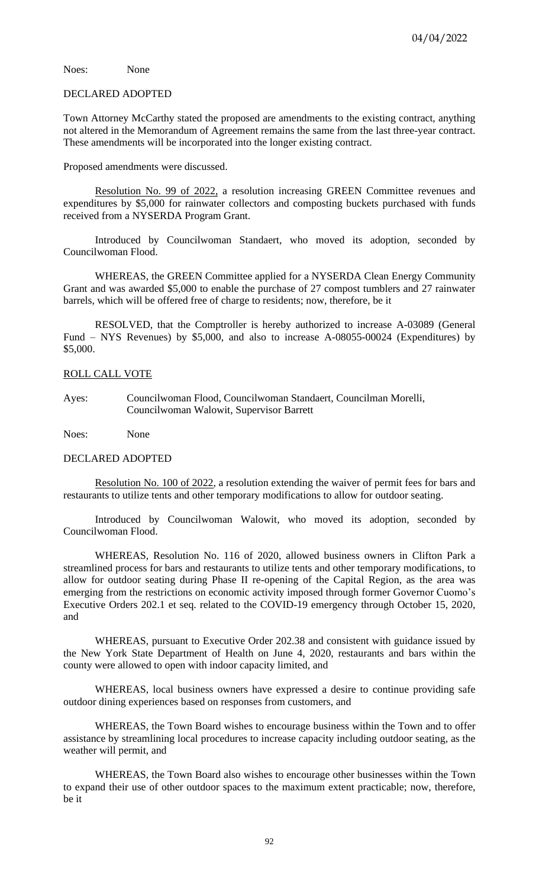Noes: None

#### DECLARED ADOPTED

Town Attorney McCarthy stated the proposed are amendments to the existing contract, anything not altered in the Memorandum of Agreement remains the same from the last three-year contract. These amendments will be incorporated into the longer existing contract.

Proposed amendments were discussed.

Resolution No. 99 of 2022, a resolution increasing GREEN Committee revenues and expenditures by \$5,000 for rainwater collectors and composting buckets purchased with funds received from a NYSERDA Program Grant.

Introduced by Councilwoman Standaert, who moved its adoption, seconded by Councilwoman Flood.

WHEREAS, the GREEN Committee applied for a NYSERDA Clean Energy Community Grant and was awarded \$5,000 to enable the purchase of 27 compost tumblers and 27 rainwater barrels, which will be offered free of charge to residents; now, therefore, be it

RESOLVED, that the Comptroller is hereby authorized to increase A-03089 (General Fund – NYS Revenues) by \$5,000, and also to increase A-08055-00024 (Expenditures) by \$5,000.

## ROLL CALL VOTE

Ayes: Councilwoman Flood, Councilwoman Standaert, Councilman Morelli, Councilwoman Walowit, Supervisor Barrett

Noes: None

### DECLARED ADOPTED

Resolution No. 100 of 2022, a resolution extending the waiver of permit fees for bars and restaurants to utilize tents and other temporary modifications to allow for outdoor seating.

Introduced by Councilwoman Walowit, who moved its adoption, seconded by Councilwoman Flood.

WHEREAS, Resolution No. 116 of 2020, allowed business owners in Clifton Park a streamlined process for bars and restaurants to utilize tents and other temporary modifications, to allow for outdoor seating during Phase II re-opening of the Capital Region, as the area was emerging from the restrictions on economic activity imposed through former Governor Cuomo's Executive Orders 202.1 et seq. related to the COVID-19 emergency through October 15, 2020, and

WHEREAS, pursuant to Executive Order 202.38 and consistent with guidance issued by the New York State Department of Health on June 4, 2020, restaurants and bars within the county were allowed to open with indoor capacity limited, and

WHEREAS, local business owners have expressed a desire to continue providing safe outdoor dining experiences based on responses from customers, and

WHEREAS, the Town Board wishes to encourage business within the Town and to offer assistance by streamlining local procedures to increase capacity including outdoor seating, as the weather will permit, and

WHEREAS, the Town Board also wishes to encourage other businesses within the Town to expand their use of other outdoor spaces to the maximum extent practicable; now, therefore, be it